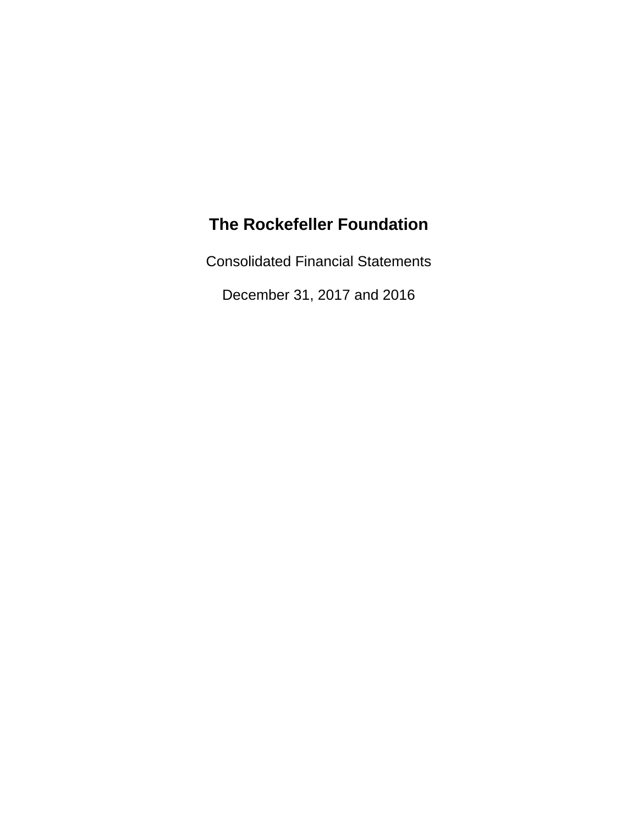Consolidated Financial Statements

December 31, 2017 and 2016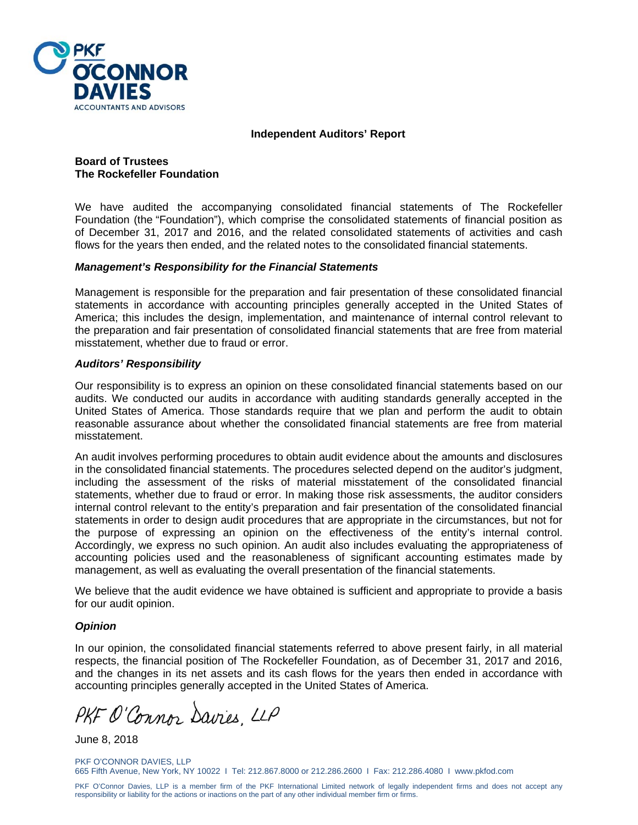

#### **Independent Auditors' Report**

## **Board of Trustees The Rockefeller Foundation**

We have audited the accompanying consolidated financial statements of The Rockefeller Foundation (the "Foundation"), which comprise the consolidated statements of financial position as of December 31, 2017 and 2016, and the related consolidated statements of activities and cash flows for the years then ended, and the related notes to the consolidated financial statements.

#### *Management's Responsibility for the Financial Statements*

Management is responsible for the preparation and fair presentation of these consolidated financial statements in accordance with accounting principles generally accepted in the United States of America; this includes the design, implementation, and maintenance of internal control relevant to the preparation and fair presentation of consolidated financial statements that are free from material misstatement, whether due to fraud or error.

#### *Auditors' Responsibility*

Our responsibility is to express an opinion on these consolidated financial statements based on our audits. We conducted our audits in accordance with auditing standards generally accepted in the United States of America. Those standards require that we plan and perform the audit to obtain reasonable assurance about whether the consolidated financial statements are free from material misstatement.

An audit involves performing procedures to obtain audit evidence about the amounts and disclosures in the consolidated financial statements. The procedures selected depend on the auditor's judgment, including the assessment of the risks of material misstatement of the consolidated financial statements, whether due to fraud or error. In making those risk assessments, the auditor considers internal control relevant to the entity's preparation and fair presentation of the consolidated financial statements in order to design audit procedures that are appropriate in the circumstances, but not for the purpose of expressing an opinion on the effectiveness of the entity's internal control. Accordingly, we express no such opinion. An audit also includes evaluating the appropriateness of accounting policies used and the reasonableness of significant accounting estimates made by management, as well as evaluating the overall presentation of the financial statements.

We believe that the audit evidence we have obtained is sufficient and appropriate to provide a basis for our audit opinion.

#### *Opinion*

In our opinion, the consolidated financial statements referred to above present fairly, in all material respects, the financial position of The Rockefeller Foundation, as of December 31, 2017 and 2016, and the changes in its net assets and its cash flows for the years then ended in accordance with accounting principles generally accepted in the United States of America.

PKF O'Connor Davies, LLP

June 8, 2018

PKF O'CONNOR DAVIES, LLP 665 Fifth Avenue, New York, NY 10022 I Tel: 212.867.8000 or 212.286.2600 I Fax: 212.286.4080 I www.pkfod.com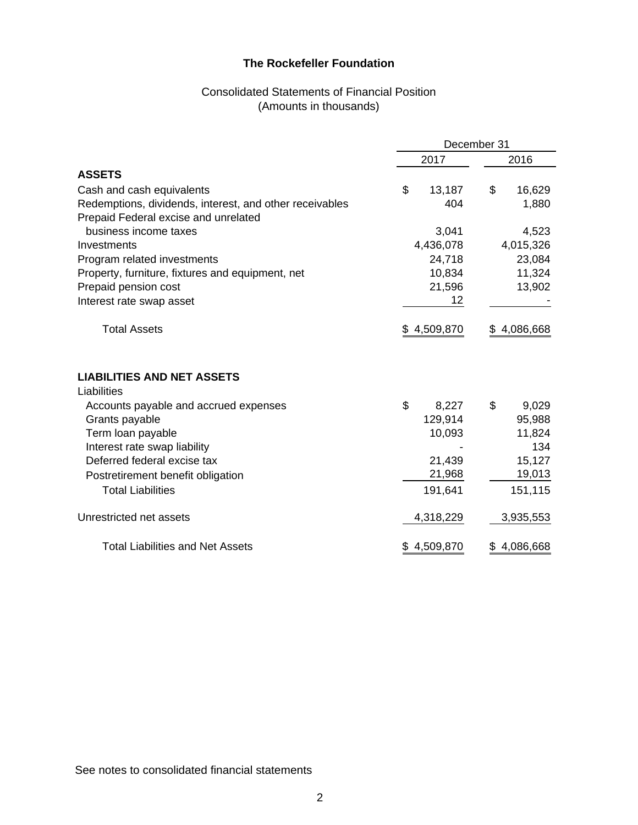## Consolidated Statements of Financial Position (Amounts in thousands)

|                                                         | December 31      |                 |  |  |
|---------------------------------------------------------|------------------|-----------------|--|--|
|                                                         | 2017             | 2016            |  |  |
| <b>ASSETS</b>                                           |                  |                 |  |  |
| Cash and cash equivalents                               | \$<br>13,187     | \$<br>16,629    |  |  |
| Redemptions, dividends, interest, and other receivables | 404              | 1,880           |  |  |
| Prepaid Federal excise and unrelated                    |                  |                 |  |  |
| business income taxes                                   | 3,041            | 4,523           |  |  |
| Investments                                             | 4,436,078        | 4,015,326       |  |  |
| Program related investments                             | 24,718           | 23,084          |  |  |
| Property, furniture, fixtures and equipment, net        | 10,834           | 11,324          |  |  |
| Prepaid pension cost                                    | 21,596           | 13,902          |  |  |
| Interest rate swap asset                                | 12               |                 |  |  |
|                                                         |                  |                 |  |  |
| <b>Total Assets</b>                                     | 4,509,870<br>\$. | 4,086,668<br>S. |  |  |
|                                                         |                  |                 |  |  |
| <b>LIABILITIES AND NET ASSETS</b>                       |                  |                 |  |  |
| Liabilities                                             |                  |                 |  |  |
| Accounts payable and accrued expenses                   | \$<br>8,227      | \$<br>9,029     |  |  |
| Grants payable                                          | 129,914          | 95,988          |  |  |
| Term loan payable                                       | 10,093           | 11,824          |  |  |
| Interest rate swap liability                            |                  | 134             |  |  |
| Deferred federal excise tax                             | 21,439           | 15,127          |  |  |
| Postretirement benefit obligation                       | 21,968           | 19,013          |  |  |
| <b>Total Liabilities</b>                                | 191,641          | 151,115         |  |  |
| Unrestricted net assets                                 | 4,318,229        | 3,935,553       |  |  |
| <b>Total Liabilities and Net Assets</b>                 | 4,509,870<br>S   | 4,086,668<br>S  |  |  |

See notes to consolidated financial statements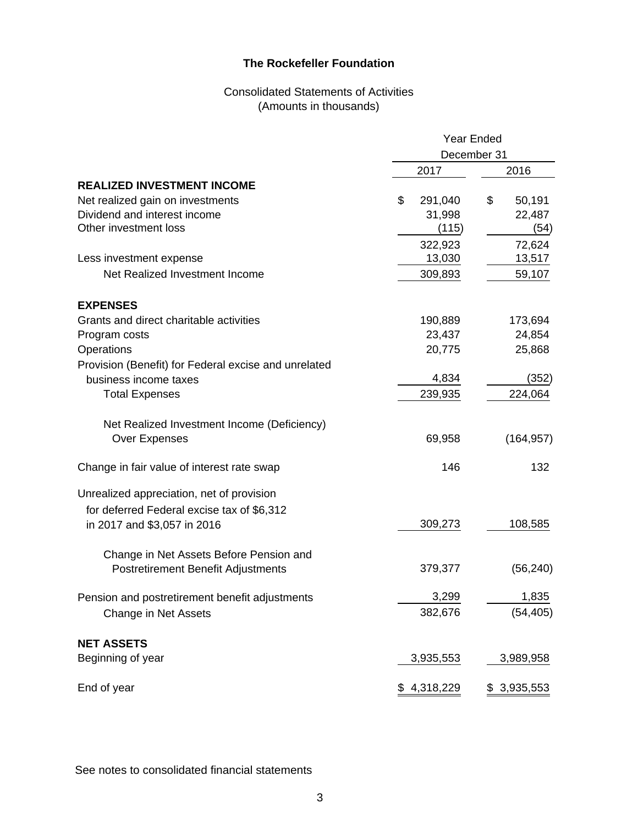## Consolidated Statements of Activities (Amounts in thousands)

|                                                      | Year Ended    |                 |  |  |
|------------------------------------------------------|---------------|-----------------|--|--|
|                                                      |               | December 31     |  |  |
|                                                      | 2017          | 2016            |  |  |
| <b>REALIZED INVESTMENT INCOME</b>                    |               |                 |  |  |
| Net realized gain on investments                     | \$<br>291,040 | \$<br>50,191    |  |  |
| Dividend and interest income                         | 31,998        | 22,487          |  |  |
| Other investment loss                                | (115)         | (54)            |  |  |
|                                                      | 322,923       | 72,624          |  |  |
| Less investment expense                              | 13,030        | 13,517          |  |  |
| Net Realized Investment Income                       | 309,893       | 59,107          |  |  |
| <b>EXPENSES</b>                                      |               |                 |  |  |
| Grants and direct charitable activities              | 190,889       | 173,694         |  |  |
| Program costs                                        | 23,437        | 24,854          |  |  |
| Operations                                           | 20,775        | 25,868          |  |  |
| Provision (Benefit) for Federal excise and unrelated |               |                 |  |  |
| business income taxes                                | 4,834         | (352)           |  |  |
| <b>Total Expenses</b>                                | 239,935       | 224,064         |  |  |
| Net Realized Investment Income (Deficiency)          |               |                 |  |  |
| <b>Over Expenses</b>                                 | 69,958        | (164, 957)      |  |  |
| Change in fair value of interest rate swap           | 146           | 132             |  |  |
| Unrealized appreciation, net of provision            |               |                 |  |  |
| for deferred Federal excise tax of \$6,312           |               |                 |  |  |
| in 2017 and \$3,057 in 2016                          | 309,273       | 108,585         |  |  |
| Change in Net Assets Before Pension and              |               |                 |  |  |
| <b>Postretirement Benefit Adjustments</b>            | 379,377       | (56, 240)       |  |  |
| Pension and postretirement benefit adjustments       | 3,299         | 1,835           |  |  |
| Change in Net Assets                                 | 382,676       | (54, 405)       |  |  |
| <b>NET ASSETS</b>                                    |               |                 |  |  |
| Beginning of year                                    | 3,935,553     | 3,989,958       |  |  |
| End of year                                          | \$4,318,229   | 3,935,553<br>\$ |  |  |

See notes to consolidated financial statements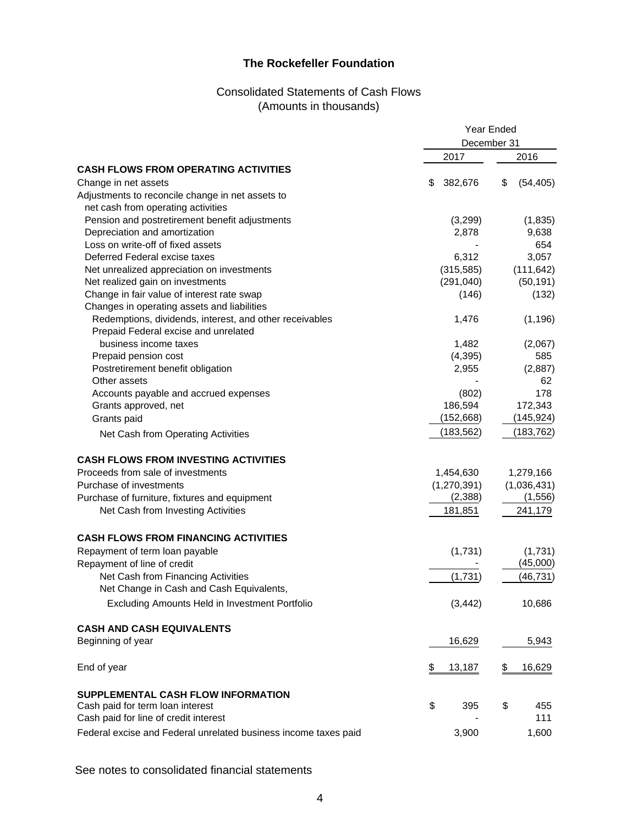## Consolidated Statements of Cash Flows (Amounts in thousands)

|                                                                 | Year Ended    |                 |  |
|-----------------------------------------------------------------|---------------|-----------------|--|
|                                                                 | December 31   |                 |  |
|                                                                 | 2017          | 2016            |  |
| <b>CASH FLOWS FROM OPERATING ACTIVITIES</b>                     |               |                 |  |
| Change in net assets                                            | 382,676<br>\$ | \$<br>(54, 405) |  |
| Adjustments to reconcile change in net assets to                |               |                 |  |
| net cash from operating activities                              |               |                 |  |
| Pension and postretirement benefit adjustments                  | (3,299)       | (1, 835)        |  |
| Depreciation and amortization                                   | 2,878         | 9,638           |  |
| Loss on write-off of fixed assets                               |               | 654             |  |
| Deferred Federal excise taxes                                   | 6,312         | 3,057           |  |
| Net unrealized appreciation on investments                      | (315,585)     | (111, 642)      |  |
| Net realized gain on investments                                | (291, 040)    | (50, 191)       |  |
| Change in fair value of interest rate swap                      | (146)         | (132)           |  |
| Changes in operating assets and liabilities                     |               |                 |  |
| Redemptions, dividends, interest, and other receivables         | 1,476         | (1, 196)        |  |
| Prepaid Federal excise and unrelated                            |               |                 |  |
| business income taxes                                           | 1,482         | (2,067)         |  |
| Prepaid pension cost                                            | (4, 395)      | 585             |  |
| Postretirement benefit obligation                               | 2,955         | (2,887)         |  |
| Other assets                                                    |               | 62              |  |
| Accounts payable and accrued expenses                           | (802)         | 178             |  |
| Grants approved, net                                            | 186,594       | 172,343         |  |
| Grants paid                                                     | (152, 668)    | (145, 924)      |  |
| Net Cash from Operating Activities                              | (183, 562)    | (183, 762)      |  |
| <b>CASH FLOWS FROM INVESTING ACTIVITIES</b>                     |               |                 |  |
| Proceeds from sale of investments                               | 1,454,630     | 1,279,166       |  |
| Purchase of investments                                         | (1, 270, 391) | (1,036,431)     |  |
| Purchase of furniture, fixtures and equipment                   | (2,388)       | (1, 556)        |  |
| Net Cash from Investing Activities                              | 181,851       | 241,179         |  |
| <b>CASH FLOWS FROM FINANCING ACTIVITIES</b>                     |               |                 |  |
| Repayment of term loan payable                                  | (1,731)       | (1,731)         |  |
| Repayment of line of credit                                     |               | (45,000)        |  |
| Net Cash from Financing Activities                              | (1,731)       | (46, 731)       |  |
| Net Change in Cash and Cash Equivalents,                        |               |                 |  |
| Excluding Amounts Held in Investment Portfolio                  | (3, 442)      | 10,686          |  |
| <b>CASH AND CASH EQUIVALENTS</b>                                |               |                 |  |
| Beginning of year                                               | 16,629        | 5,943           |  |
| End of year                                                     | 13,187<br>\$  | \$<br>16,629    |  |
|                                                                 |               |                 |  |
| SUPPLEMENTAL CASH FLOW INFORMATION                              |               |                 |  |
| Cash paid for term loan interest                                | \$<br>395     | \$<br>455       |  |
| Cash paid for line of credit interest                           |               | 111             |  |
| Federal excise and Federal unrelated business income taxes paid | 3,900         | 1,600           |  |

See notes to consolidated financial statements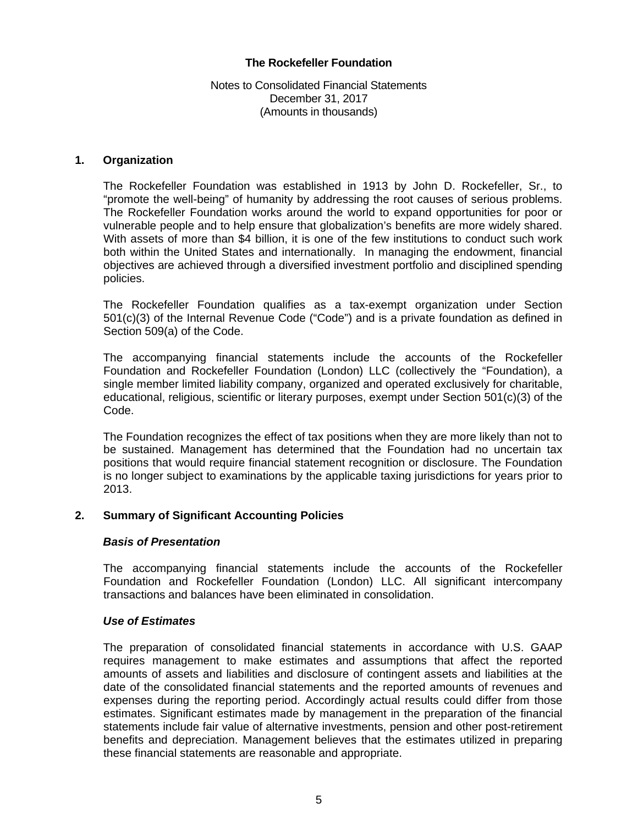Notes to Consolidated Financial Statements December 31, 2017 (Amounts in thousands)

#### **1. Organization**

 The Rockefeller Foundation was established in 1913 by John D. Rockefeller, Sr., to "promote the well-being" of humanity by addressing the root causes of serious problems. The Rockefeller Foundation works around the world to expand opportunities for poor or vulnerable people and to help ensure that globalization's benefits are more widely shared. With assets of more than \$4 billion, it is one of the few institutions to conduct such work both within the United States and internationally. In managing the endowment, financial objectives are achieved through a diversified investment portfolio and disciplined spending policies.

 The Rockefeller Foundation qualifies as a tax-exempt organization under Section 501(c)(3) of the Internal Revenue Code ("Code") and is a private foundation as defined in Section 509(a) of the Code.

 The accompanying financial statements include the accounts of the Rockefeller Foundation and Rockefeller Foundation (London) LLC (collectively the "Foundation), a single member limited liability company, organized and operated exclusively for charitable, educational, religious, scientific or literary purposes, exempt under Section 501(c)(3) of the Code.

 The Foundation recognizes the effect of tax positions when they are more likely than not to be sustained. Management has determined that the Foundation had no uncertain tax positions that would require financial statement recognition or disclosure. The Foundation is no longer subject to examinations by the applicable taxing jurisdictions for years prior to 2013.

#### **2. Summary of Significant Accounting Policies**

#### *Basis of Presentation*

 The accompanying financial statements include the accounts of the Rockefeller Foundation and Rockefeller Foundation (London) LLC. All significant intercompany transactions and balances have been eliminated in consolidation.

## *Use of Estimates*

 The preparation of consolidated financial statements in accordance with U.S. GAAP requires management to make estimates and assumptions that affect the reported amounts of assets and liabilities and disclosure of contingent assets and liabilities at the date of the consolidated financial statements and the reported amounts of revenues and expenses during the reporting period. Accordingly actual results could differ from those estimates. Significant estimates made by management in the preparation of the financial statements include fair value of alternative investments, pension and other post-retirement benefits and depreciation. Management believes that the estimates utilized in preparing these financial statements are reasonable and appropriate.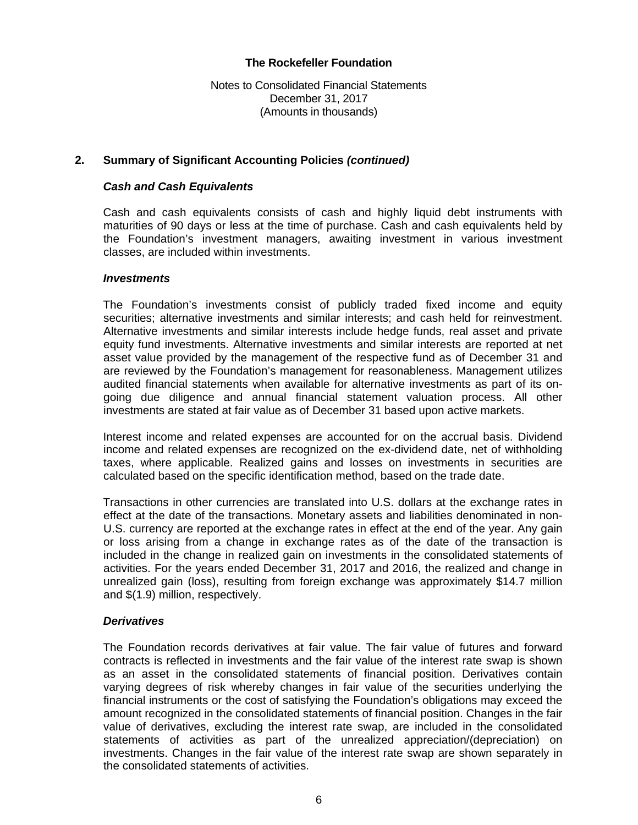Notes to Consolidated Financial Statements December 31, 2017 (Amounts in thousands)

## **2. Summary of Significant Accounting Policies** *(continued)*

## *Cash and Cash Equivalents*

 Cash and cash equivalents consists of cash and highly liquid debt instruments with maturities of 90 days or less at the time of purchase. Cash and cash equivalents held by the Foundation's investment managers, awaiting investment in various investment classes, are included within investments.

#### *Investments*

 The Foundation's investments consist of publicly traded fixed income and equity securities; alternative investments and similar interests; and cash held for reinvestment. Alternative investments and similar interests include hedge funds, real asset and private equity fund investments. Alternative investments and similar interests are reported at net asset value provided by the management of the respective fund as of December 31 and are reviewed by the Foundation's management for reasonableness. Management utilizes audited financial statements when available for alternative investments as part of its ongoing due diligence and annual financial statement valuation process. All other investments are stated at fair value as of December 31 based upon active markets.

 Interest income and related expenses are accounted for on the accrual basis. Dividend income and related expenses are recognized on the ex-dividend date, net of withholding taxes, where applicable. Realized gains and losses on investments in securities are calculated based on the specific identification method, based on the trade date.

 Transactions in other currencies are translated into U.S. dollars at the exchange rates in effect at the date of the transactions. Monetary assets and liabilities denominated in non-U.S. currency are reported at the exchange rates in effect at the end of the year. Any gain or loss arising from a change in exchange rates as of the date of the transaction is included in the change in realized gain on investments in the consolidated statements of activities. For the years ended December 31, 2017 and 2016, the realized and change in unrealized gain (loss), resulting from foreign exchange was approximately \$14.7 million and \$(1.9) million, respectively.

#### *Derivatives*

 The Foundation records derivatives at fair value. The fair value of futures and forward contracts is reflected in investments and the fair value of the interest rate swap is shown as an asset in the consolidated statements of financial position. Derivatives contain varying degrees of risk whereby changes in fair value of the securities underlying the financial instruments or the cost of satisfying the Foundation's obligations may exceed the amount recognized in the consolidated statements of financial position. Changes in the fair value of derivatives, excluding the interest rate swap, are included in the consolidated statements of activities as part of the unrealized appreciation/(depreciation) on investments. Changes in the fair value of the interest rate swap are shown separately in the consolidated statements of activities.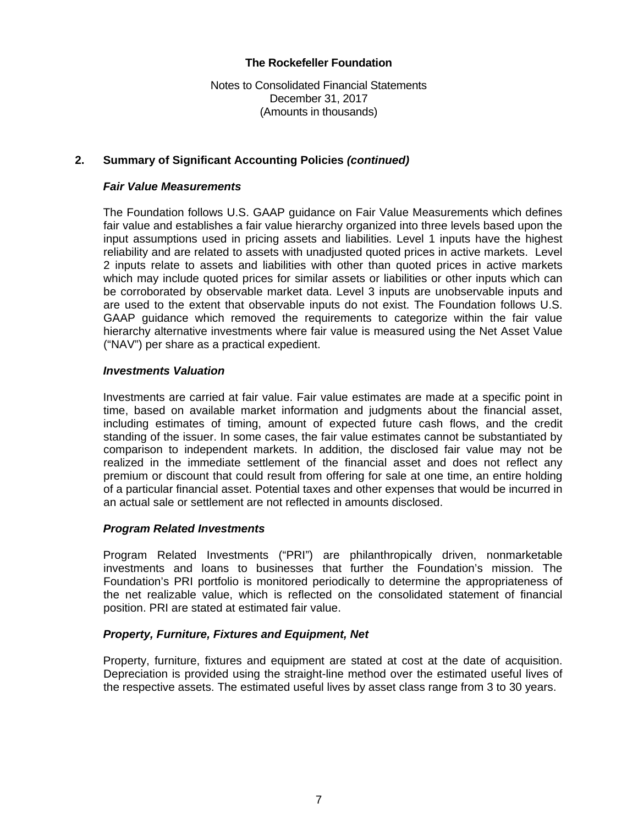Notes to Consolidated Financial Statements December 31, 2017 (Amounts in thousands)

## **2. Summary of Significant Accounting Policies** *(continued)*

## *Fair Value Measurements*

 The Foundation follows U.S. GAAP guidance on Fair Value Measurements which defines fair value and establishes a fair value hierarchy organized into three levels based upon the input assumptions used in pricing assets and liabilities. Level 1 inputs have the highest reliability and are related to assets with unadjusted quoted prices in active markets. Level 2 inputs relate to assets and liabilities with other than quoted prices in active markets which may include quoted prices for similar assets or liabilities or other inputs which can be corroborated by observable market data. Level 3 inputs are unobservable inputs and are used to the extent that observable inputs do not exist. The Foundation follows U.S. GAAP guidance which removed the requirements to categorize within the fair value hierarchy alternative investments where fair value is measured using the Net Asset Value ("NAV") per share as a practical expedient.

#### *Investments Valuation*

 Investments are carried at fair value. Fair value estimates are made at a specific point in time, based on available market information and judgments about the financial asset, including estimates of timing, amount of expected future cash flows, and the credit standing of the issuer. In some cases, the fair value estimates cannot be substantiated by comparison to independent markets. In addition, the disclosed fair value may not be realized in the immediate settlement of the financial asset and does not reflect any premium or discount that could result from offering for sale at one time, an entire holding of a particular financial asset. Potential taxes and other expenses that would be incurred in an actual sale or settlement are not reflected in amounts disclosed.

#### *Program Related Investments*

 Program Related Investments ("PRI") are philanthropically driven, nonmarketable investments and loans to businesses that further the Foundation's mission. The Foundation's PRI portfolio is monitored periodically to determine the appropriateness of the net realizable value, which is reflected on the consolidated statement of financial position. PRI are stated at estimated fair value.

#### *Property, Furniture, Fixtures and Equipment, Net*

 Property, furniture, fixtures and equipment are stated at cost at the date of acquisition. Depreciation is provided using the straight-line method over the estimated useful lives of the respective assets. The estimated useful lives by asset class range from 3 to 30 years.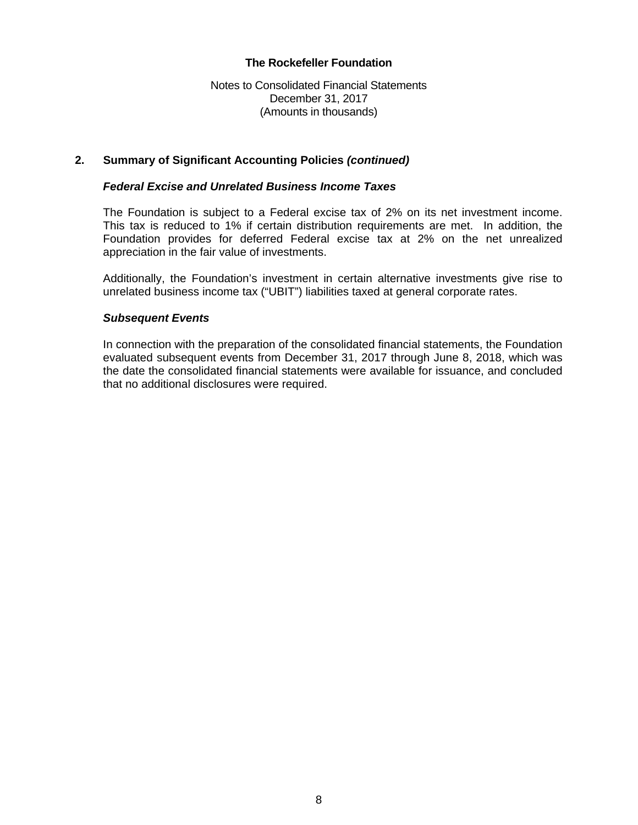Notes to Consolidated Financial Statements December 31, 2017 (Amounts in thousands)

## **2. Summary of Significant Accounting Policies** *(continued)*

#### *Federal Excise and Unrelated Business Income Taxes*

The Foundation is subject to a Federal excise tax of 2% on its net investment income. This tax is reduced to 1% if certain distribution requirements are met. In addition, the Foundation provides for deferred Federal excise tax at 2% on the net unrealized appreciation in the fair value of investments.

Additionally, the Foundation's investment in certain alternative investments give rise to unrelated business income tax ("UBIT") liabilities taxed at general corporate rates.

#### *Subsequent Events*

In connection with the preparation of the consolidated financial statements, the Foundation evaluated subsequent events from December 31, 2017 through June 8, 2018, which was the date the consolidated financial statements were available for issuance, and concluded that no additional disclosures were required.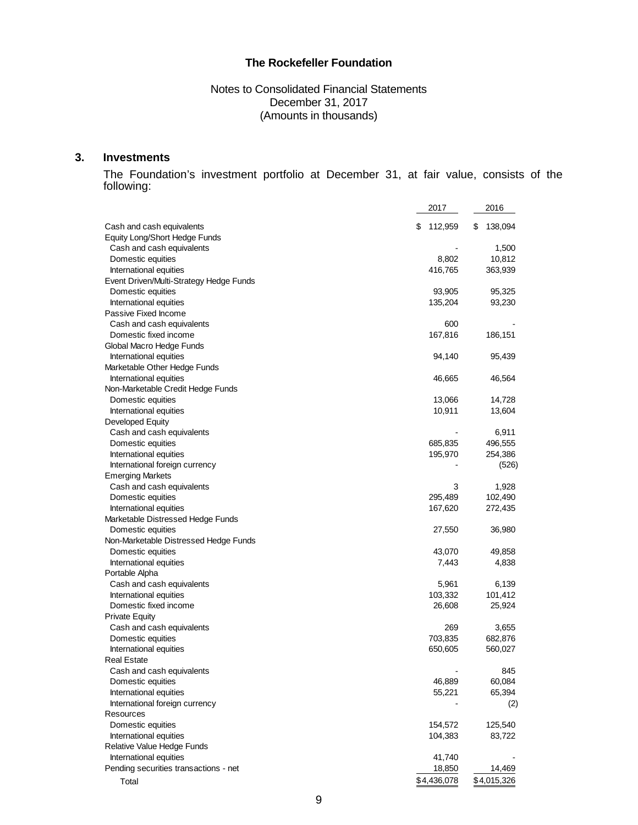Notes to Consolidated Financial Statements December 31, 2017 (Amounts in thousands)

#### **3. Investments**

The Foundation's investment portfolio at December 31, at fair value, consists of the following:

|                                         | 2017          | 2016          |
|-----------------------------------------|---------------|---------------|
| Cash and cash equivalents               | 112,959<br>\$ | 138,094<br>\$ |
| Equity Long/Short Hedge Funds           |               |               |
| Cash and cash equivalents               |               | 1,500         |
| Domestic equities                       | 8,802         | 10,812        |
| International equities                  | 416,765       | 363,939       |
| Event Driven/Multi-Strategy Hedge Funds |               |               |
| Domestic equities                       | 93,905        | 95,325        |
| International equities                  | 135,204       | 93,230        |
| Passive Fixed Income                    |               |               |
| Cash and cash equivalents               | 600           |               |
| Domestic fixed income                   | 167,816       | 186,151       |
| Global Macro Hedge Funds                |               |               |
| International equities                  | 94,140        | 95,439        |
| Marketable Other Hedge Funds            |               |               |
| International equities                  | 46,665        | 46,564        |
|                                         |               |               |
| Non-Marketable Credit Hedge Funds       |               |               |
| Domestic equities                       | 13,066        | 14,728        |
| International equities                  | 10,911        | 13,604        |
| Developed Equity                        |               |               |
| Cash and cash equivalents               |               | 6,911         |
| Domestic equities                       | 685,835       | 496,555       |
| International equities                  | 195,970       | 254,386       |
| International foreign currency          |               | (526)         |
| <b>Emerging Markets</b>                 |               |               |
| Cash and cash equivalents               | 3             | 1,928         |
| Domestic equities                       | 295,489       | 102,490       |
| International equities                  | 167,620       | 272,435       |
| Marketable Distressed Hedge Funds       |               |               |
| Domestic equities                       | 27,550        | 36,980        |
| Non-Marketable Distressed Hedge Funds   |               |               |
| Domestic equities                       | 43,070        | 49,858        |
| International equities                  | 7,443         | 4,838         |
| Portable Alpha                          |               |               |
| Cash and cash equivalents               | 5,961         | 6,139         |
| International equities                  | 103,332       | 101,412       |
| Domestic fixed income                   | 26,608        | 25,924        |
| <b>Private Equity</b>                   |               |               |
| Cash and cash equivalents               | 269           | 3,655         |
| Domestic equities                       | 703,835       | 682,876       |
| International equities                  | 650,605       | 560,027       |
| <b>Real Estate</b>                      |               |               |
| Cash and cash equivalents               |               | 845           |
| Domestic equities                       | 46,889        | 60,084        |
| International equities                  | 55,221        | 65,394        |
| International foreign currency          |               | (2)           |
| Resources                               |               |               |
| Domestic equities                       | 154,572       | 125,540       |
| International equities                  | 104,383       | 83,722        |
| Relative Value Hedge Funds              |               |               |
| International equities                  | 41,740        |               |
| Pending securities transactions - net   | 18,850        | 14,469        |
| Total                                   | \$4,436,078   | \$4,015,326   |

9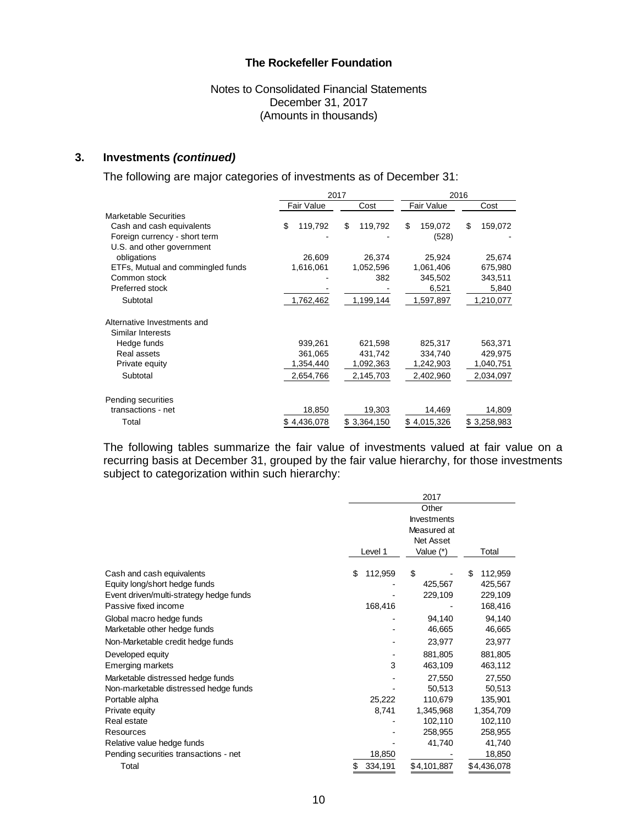#### Notes to Consolidated Financial Statements December 31, 2017 (Amounts in thousands)

## **3. Investments** *(continued)*

The following are major categories of investments as of December 31:

|                                   |               | 2017          | 2016          |               |  |  |
|-----------------------------------|---------------|---------------|---------------|---------------|--|--|
|                                   | Fair Value    | Cost          | Fair Value    | Cost          |  |  |
| <b>Marketable Securities</b>      |               |               |               |               |  |  |
| Cash and cash equivalents         | \$<br>119,792 | \$<br>119,792 | \$<br>159,072 | \$<br>159,072 |  |  |
| Foreign currency - short term     |               |               | (528)         |               |  |  |
| U.S. and other government         |               |               |               |               |  |  |
| obligations                       | 26,609        | 26,374        | 25,924        | 25,674        |  |  |
| ETFs, Mutual and commingled funds | 1,616,061     | 1,052,596     | 1,061,406     | 675,980       |  |  |
| Common stock                      |               | 382           | 345,502       | 343,511       |  |  |
| Preferred stock                   |               |               | 6,521         | 5,840         |  |  |
| Subtotal                          | 1,762,462     | 1,199,144     | 1,597,897     | 1,210,077     |  |  |
| Alternative Investments and       |               |               |               |               |  |  |
| Similar Interests                 |               |               |               |               |  |  |
| Hedge funds                       | 939,261       | 621,598       | 825,317       | 563,371       |  |  |
| Real assets                       | 361,065       | 431,742       | 334,740       | 429,975       |  |  |
| Private equity                    | 1,354,440     | 1,092,363     | 1,242,903     | 1,040,751     |  |  |
| Subtotal                          | 2,654,766     | 2,145,703     | 2,402,960     | 2,034,097     |  |  |
| Pending securities                |               |               |               |               |  |  |
| transactions - net                | 18,850        | 19,303        | 14,469        | 14,809        |  |  |
| Total                             | \$4,436,078   | \$3,364,150   | \$4,015,326   | \$3,258,983   |  |  |

The following tables summarize the fair value of investments valued at fair value on a recurring basis at December 31, grouped by the fair value hierarchy, for those investments subject to categorization within such hierarchy:

|                                         | 2017               |                  |               |  |  |
|-----------------------------------------|--------------------|------------------|---------------|--|--|
|                                         | Other              |                  |               |  |  |
|                                         | <b>Investments</b> |                  |               |  |  |
|                                         |                    | Measured at      |               |  |  |
|                                         |                    | <b>Net Asset</b> |               |  |  |
|                                         | Level 1            | Value (*)        | Total         |  |  |
| Cash and cash equivalents               | \$<br>112,959      | \$               | \$<br>112,959 |  |  |
| Equity long/short hedge funds           |                    | 425,567          | 425,567       |  |  |
| Event driven/multi-strategy hedge funds |                    | 229,109          | 229,109       |  |  |
| Passive fixed income                    | 168,416            |                  | 168,416       |  |  |
| Global macro hedge funds                |                    | 94,140           | 94,140        |  |  |
| Marketable other hedge funds            |                    | 46,665           | 46,665        |  |  |
| Non-Marketable credit hedge funds       |                    | 23,977           | 23,977        |  |  |
| Developed equity                        |                    | 881,805          | 881,805       |  |  |
| <b>Emerging markets</b>                 | 3                  | 463,109          | 463,112       |  |  |
| Marketable distressed hedge funds       |                    | 27,550           | 27,550        |  |  |
| Non-marketable distressed hedge funds   |                    | 50,513           | 50.513        |  |  |
| Portable alpha                          | 25,222             | 110,679          | 135,901       |  |  |
| Private equity                          | 8,741              | 1,345,968        | 1,354,709     |  |  |
| Real estate                             |                    | 102,110          | 102,110       |  |  |
| Resources                               |                    | 258,955          | 258,955       |  |  |
| Relative value hedge funds              |                    | 41,740           | 41,740        |  |  |
| Pending securities transactions - net   | 18,850             |                  | 18,850        |  |  |
| Total                                   | 334,191<br>\$      | \$4,101,887      | \$4,436,078   |  |  |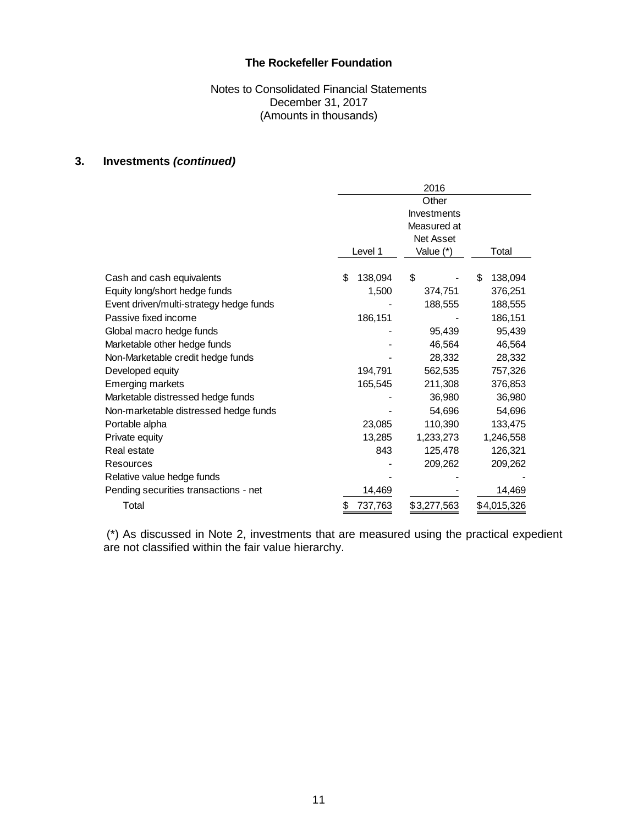## Notes to Consolidated Financial Statements December 31, 2017 (Amounts in thousands)

## **3. Investments** *(continued)*

|                                         | 2016          |                    |               |  |  |
|-----------------------------------------|---------------|--------------------|---------------|--|--|
|                                         |               | Other              |               |  |  |
|                                         |               | <b>Investments</b> |               |  |  |
|                                         |               |                    |               |  |  |
|                                         |               | Net Asset          |               |  |  |
|                                         | Level 1       | Value (*)          | Total         |  |  |
| Cash and cash equivalents               | \$<br>138,094 | \$                 | \$<br>138,094 |  |  |
| Equity long/short hedge funds           | 1,500         | 374,751            | 376,251       |  |  |
| Event driven/multi-strategy hedge funds |               | 188,555            | 188,555       |  |  |
| Passive fixed income                    | 186,151       |                    | 186,151       |  |  |
| Global macro hedge funds                |               | 95,439             | 95,439        |  |  |
| Marketable other hedge funds            |               | 46,564             | 46,564        |  |  |
| Non-Marketable credit hedge funds       |               | 28,332             | 28,332        |  |  |
| Developed equity                        | 194,791       | 562,535            | 757,326       |  |  |
| Emerging markets                        | 165,545       | 211,308            | 376,853       |  |  |
| Marketable distressed hedge funds       |               | 36,980             | 36,980        |  |  |
| Non-marketable distressed hedge funds   |               | 54,696             | 54,696        |  |  |
| Portable alpha                          | 23,085        | 110,390            | 133,475       |  |  |
| Private equity                          | 13,285        | 1,233,273          | 1,246,558     |  |  |
| Real estate                             | 843           | 125,478            | 126,321       |  |  |
| Resources                               |               | 209,262            | 209,262       |  |  |
| Relative value hedge funds              |               |                    |               |  |  |
| Pending securities transactions - net   | 14,469        |                    | 14,469        |  |  |
| Total                                   | 737,763<br>\$ | \$3,277,563        | \$4,015,326   |  |  |

 (\*) As discussed in Note 2, investments that are measured using the practical expedient are not classified within the fair value hierarchy.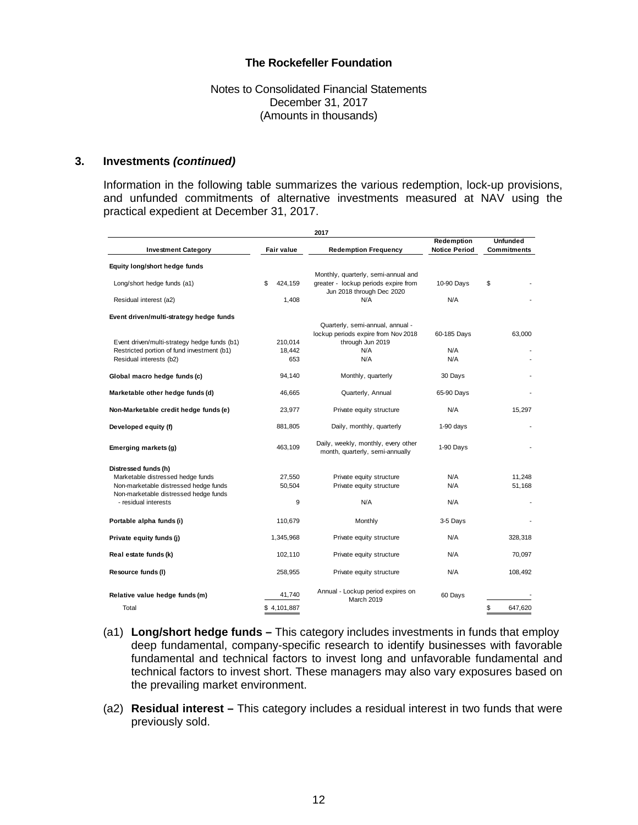#### Notes to Consolidated Financial Statements December 31, 2017 (Amounts in thousands)

## **3. Investments** *(continued)*

Information in the following table summarizes the various redemption, lock-up provisions, and unfunded commitments of alternative investments measured at NAV using the practical expedient at December 31, 2017.

|                                                                                            |                   | 2017                                                                                                     |                                |                  |
|--------------------------------------------------------------------------------------------|-------------------|----------------------------------------------------------------------------------------------------------|--------------------------------|------------------|
| <b>Redemption Frequency</b><br><b>Investment Category</b><br><b>Fair value</b>             |                   | Redemption<br><b>Notice Period</b>                                                                       | <b>Unfunded</b><br>Commitments |                  |
| Equity long/short hedge funds                                                              |                   |                                                                                                          |                                |                  |
| Long/short hedge funds (a1)                                                                | \$<br>424,159     | Monthly, quarterly, semi-annual and<br>greater - lockup periods expire from<br>Jun 2018 through Dec 2020 | 10-90 Days                     | \$               |
| Residual interest (a2)                                                                     | 1.408             | N/A                                                                                                      | N/A                            |                  |
| Event driven/multi-strategy hedge funds                                                    |                   |                                                                                                          |                                |                  |
| Event driven/multi-strategy hedge funds (b1)<br>Restricted portion of fund investment (b1) | 210,014<br>18,442 | Quarterly, semi-annual, annual -<br>lockup periods expire from Nov 2018<br>through Jun 2019<br>N/A       | 60-185 Days<br>N/A             | 63,000           |
| Residual interests (b2)                                                                    | 653               | N/A                                                                                                      | N/A                            |                  |
| Global macro hedge funds (c)                                                               | 94.140            | Monthly, quarterly                                                                                       | 30 Days                        |                  |
| Marketable other hedge funds (d)                                                           | 46,665            | Quarterly, Annual                                                                                        | 65-90 Days                     |                  |
| Non-Marketable credit hedge funds (e)                                                      | 23.977            | Private equity structure                                                                                 | N/A                            | 15,297           |
| Developed equity (f)                                                                       | 881,805           | Daily, monthly, quarterly                                                                                | $1-90$ days                    |                  |
| Emerging markets (g)                                                                       | 463,109           | Daily, weekly, monthly, every other<br>month, quarterly, semi-annually                                   | 1-90 Days                      |                  |
| Distressed funds (h)                                                                       |                   |                                                                                                          |                                |                  |
| Marketable distressed hedge funds<br>Non-marketable distressed hedge funds                 | 27,550<br>50,504  | Private equity structure<br>Private equity structure                                                     | N/A<br>N/A                     | 11,248<br>51,168 |
| Non-marketable distressed hedge funds<br>- residual interests                              | 9                 | N/A                                                                                                      | N/A                            |                  |
| Portable alpha funds (i)                                                                   | 110,679           | Monthly                                                                                                  | 3-5 Days                       |                  |
| Private equity funds (j)                                                                   | 1,345,968         | Private equity structure                                                                                 | N/A                            | 328,318          |
| Real estate funds (k)                                                                      | 102,110           | Private equity structure                                                                                 | N/A                            | 70,097           |
| Resource funds (I)                                                                         | 258,955           | Private equity structure                                                                                 | N/A                            | 108,492          |
| Relative value hedge funds (m)                                                             | 41,740            | Annual - Lockup period expires on<br><b>March 2019</b>                                                   | 60 Days                        |                  |
| Total                                                                                      | \$4,101,887       |                                                                                                          |                                | \$<br>647,620    |

- (a1) **Long/short hedge funds –** This category includes investments in funds that employ deep fundamental, company-specific research to identify businesses with favorable fundamental and technical factors to invest long and unfavorable fundamental and technical factors to invest short. These managers may also vary exposures based on the prevailing market environment.
- (a2) **Residual interest** This category includes a residual interest in two funds that were previously sold.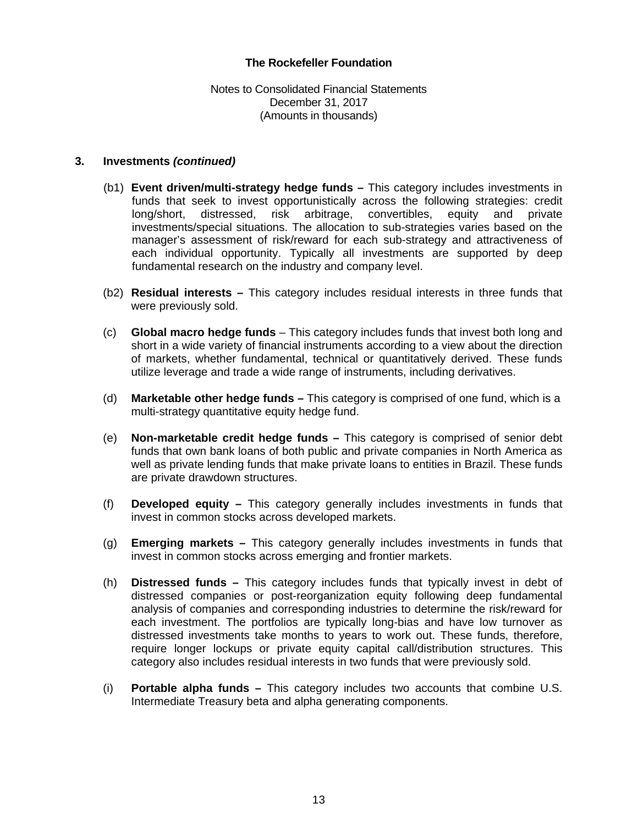Notes to Consolidated Financial Statements December 31, 2017 (Amounts in thousands)

## **3. Investments** *(continued)*

- (b1) **Event driven/multi-strategy hedge funds –** This category includes investments in funds that seek to invest opportunistically across the following strategies: credit long/short, distressed, risk arbitrage, convertibles, equity and private investments/special situations. The allocation to sub-strategies varies based on the manager's assessment of risk/reward for each sub-strategy and attractiveness of each individual opportunity. Typically all investments are supported by deep fundamental research on the industry and company level.
- (b2) **Residual interests** This category includes residual interests in three funds that were previously sold.
- (c) **Global macro hedge funds**  This category includes funds that invest both long and short in a wide variety of financial instruments according to a view about the direction of markets, whether fundamental, technical or quantitatively derived. These funds utilize leverage and trade a wide range of instruments, including derivatives.
- (d) **Marketable other hedge funds –** This category is comprised of one fund, which is a multi-strategy quantitative equity hedge fund.
- (e) **Non-marketable credit hedge funds –** This category is comprised of senior debt funds that own bank loans of both public and private companies in North America as well as private lending funds that make private loans to entities in Brazil. These funds are private drawdown structures.
- (f) **Developed equity –** This category generally includes investments in funds that invest in common stocks across developed markets.
- (g) **Emerging markets –** This category generally includes investments in funds that invest in common stocks across emerging and frontier markets.
- (h) **Distressed funds –** This category includes funds that typically invest in debt of distressed companies or post-reorganization equity following deep fundamental analysis of companies and corresponding industries to determine the risk/reward for each investment. The portfolios are typically long-bias and have low turnover as distressed investments take months to years to work out. These funds, therefore, require longer lockups or private equity capital call/distribution structures. This category also includes residual interests in two funds that were previously sold.
- (i) **Portable alpha funds –** This category includes two accounts that combine U.S. Intermediate Treasury beta and alpha generating components.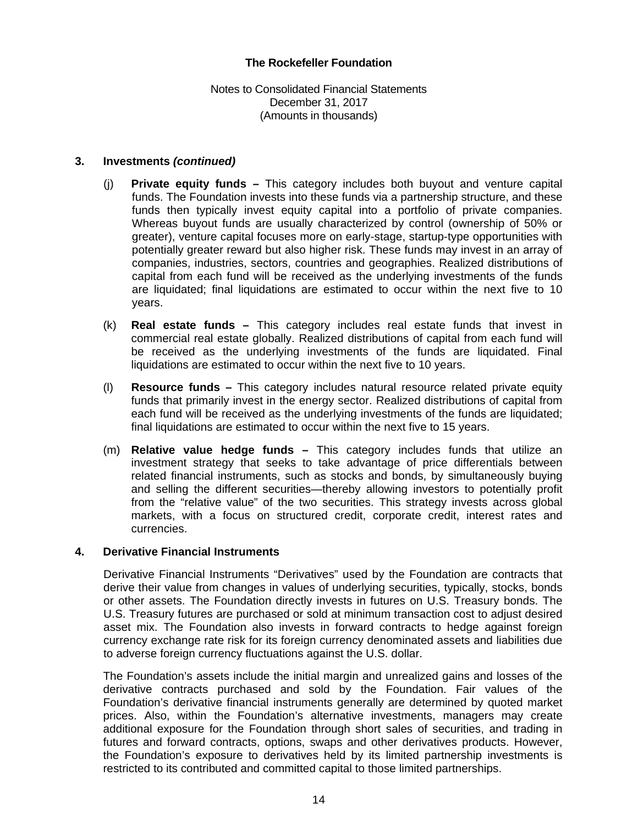Notes to Consolidated Financial Statements December 31, 2017 (Amounts in thousands)

## **3. Investments** *(continued)*

- (j) **Private equity funds –** This category includes both buyout and venture capital funds. The Foundation invests into these funds via a partnership structure, and these funds then typically invest equity capital into a portfolio of private companies. Whereas buyout funds are usually characterized by control (ownership of 50% or greater), venture capital focuses more on early-stage, startup-type opportunities with potentially greater reward but also higher risk. These funds may invest in an array of companies, industries, sectors, countries and geographies. Realized distributions of capital from each fund will be received as the underlying investments of the funds are liquidated; final liquidations are estimated to occur within the next five to 10 years.
- (k) **Real estate funds –** This category includes real estate funds that invest in commercial real estate globally. Realized distributions of capital from each fund will be received as the underlying investments of the funds are liquidated. Final liquidations are estimated to occur within the next five to 10 years.
- (l) **Resource funds –** This category includes natural resource related private equity funds that primarily invest in the energy sector. Realized distributions of capital from each fund will be received as the underlying investments of the funds are liquidated; final liquidations are estimated to occur within the next five to 15 years.
- (m) **Relative value hedge funds** This category includes funds that utilize an investment strategy that seeks to take advantage of price differentials between related financial instruments, such as stocks and bonds, by simultaneously buying and selling the different securities—thereby allowing investors to potentially profit from the "relative value" of the two securities. This strategy invests across global markets, with a focus on structured credit, corporate credit, interest rates and currencies.

#### **4. Derivative Financial Instruments**

Derivative Financial Instruments "Derivatives" used by the Foundation are contracts that derive their value from changes in values of underlying securities, typically, stocks, bonds or other assets. The Foundation directly invests in futures on U.S. Treasury bonds. The U.S. Treasury futures are purchased or sold at minimum transaction cost to adjust desired asset mix. The Foundation also invests in forward contracts to hedge against foreign currency exchange rate risk for its foreign currency denominated assets and liabilities due to adverse foreign currency fluctuations against the U.S. dollar.

The Foundation's assets include the initial margin and unrealized gains and losses of the derivative contracts purchased and sold by the Foundation. Fair values of the Foundation's derivative financial instruments generally are determined by quoted market prices. Also, within the Foundation's alternative investments, managers may create additional exposure for the Foundation through short sales of securities, and trading in futures and forward contracts, options, swaps and other derivatives products. However, the Foundation's exposure to derivatives held by its limited partnership investments is restricted to its contributed and committed capital to those limited partnerships.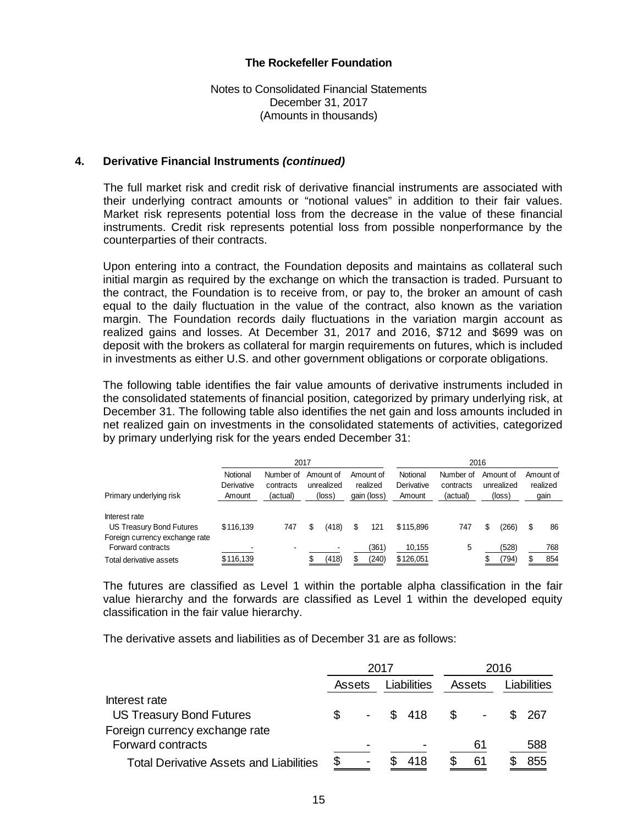Notes to Consolidated Financial Statements December 31, 2017 (Amounts in thousands)

## **4. Derivative Financial Instruments** *(continued)*

The full market risk and credit risk of derivative financial instruments are associated with their underlying contract amounts or "notional values" in addition to their fair values. Market risk represents potential loss from the decrease in the value of these financial instruments. Credit risk represents potential loss from possible nonperformance by the counterparties of their contracts.

Upon entering into a contract, the Foundation deposits and maintains as collateral such initial margin as required by the exchange on which the transaction is traded. Pursuant to the contract, the Foundation is to receive from, or pay to, the broker an amount of cash equal to the daily fluctuation in the value of the contract, also known as the variation margin. The Foundation records daily fluctuations in the variation margin account as realized gains and losses. At December 31, 2017 and 2016, \$712 and \$699 was on deposit with the brokers as collateral for margin requirements on futures, which is included in investments as either U.S. and other government obligations or corporate obligations.

The following table identifies the fair value amounts of derivative instruments included in the consolidated statements of financial position, categorized by primary underlying risk, at December 31. The following table also identifies the net gain and loss amounts included in net realized gain on investments in the consolidated statements of activities, categorized by primary underlying risk for the years ended December 31:

|                                                                                | 2017                             |                                    |   |                                   |                                      | 2016                             |                                    |                                   |                               |
|--------------------------------------------------------------------------------|----------------------------------|------------------------------------|---|-----------------------------------|--------------------------------------|----------------------------------|------------------------------------|-----------------------------------|-------------------------------|
| Primary underlying risk                                                        | Notional<br>Derivative<br>Amount | Number of<br>contracts<br>(actual) |   | Amount of<br>unrealized<br>(loss) | Amount of<br>realized<br>gain (loss) | Notional<br>Derivative<br>Amount | Number of<br>contracts<br>(actual) | Amount of<br>unrealized<br>(loss) | Amount of<br>realized<br>gain |
| Interest rate<br>US Treasury Bond Futures                                      | \$116.139                        | 747                                | S | (418)                             | 121                                  | \$115.896                        | 747                                | \$<br>(266)                       | 86                            |
| Foreign currency exchange rate<br>Forward contracts<br>Total derivative assets | \$116,139                        |                                    |   | (418)                             | (361)<br>(240)                       | 10,155<br>\$126,051              | 5                                  | (528)<br>(794)                    | 768<br>854                    |

The futures are classified as Level 1 within the portable alpha classification in the fair value hierarchy and the forwards are classified as Level 1 within the developed equity classification in the fair value hierarchy.

The derivative assets and liabilities as of December 31 are as follows:

|                                                | 2017   |  |  |             |     | 2016           |  |             |  |
|------------------------------------------------|--------|--|--|-------------|-----|----------------|--|-------------|--|
|                                                | Assets |  |  | Liabilities |     | <b>Assets</b>  |  | Liabilities |  |
| Interest rate                                  |        |  |  |             |     |                |  |             |  |
| <b>US Treasury Bond Futures</b>                |        |  |  | $-$ \$ 418  | -SS | $\blacksquare$ |  | 267         |  |
| Foreign currency exchange rate                 |        |  |  |             |     |                |  |             |  |
| Forward contracts                              |        |  |  |             |     | 61             |  | 588         |  |
| <b>Total Derivative Assets and Liabilities</b> | S      |  |  | 418         |     | 61             |  | 855         |  |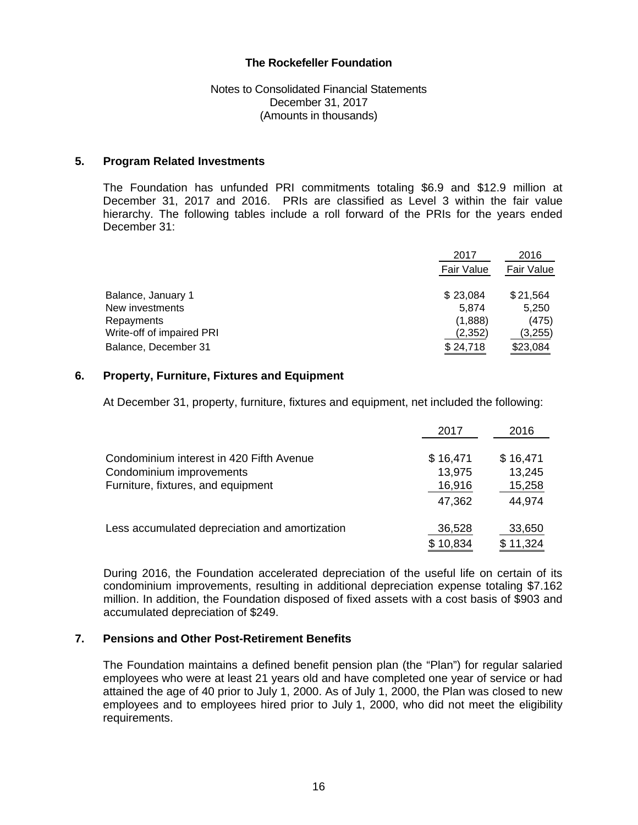## Notes to Consolidated Financial Statements December 31, 2017 (Amounts in thousands)

## **5. Program Related Investments**

The Foundation has unfunded PRI commitments totaling \$6.9 and \$12.9 million at December 31, 2017 and 2016. PRIs are classified as Level 3 within the fair value hierarchy. The following tables include a roll forward of the PRIs for the years ended December 31:

|                           | 2017              | 2016       |
|---------------------------|-------------------|------------|
|                           | <b>Fair Value</b> | Fair Value |
| Balance, January 1        | \$23,084          | \$21,564   |
| New investments           | 5,874             | 5,250      |
| Repayments                | (1,888)           | (475)      |
| Write-off of impaired PRI | (2,352)           | (3,255)    |
| Balance, December 31      | \$24,718          | \$23,084   |

## **6. Property, Furniture, Fixtures and Equipment**

At December 31, property, furniture, fixtures and equipment, net included the following:

|                                                | 2017     | 2016     |
|------------------------------------------------|----------|----------|
|                                                |          |          |
| Condominium interest in 420 Fifth Avenue       | \$16,471 | \$16,471 |
| Condominium improvements                       | 13,975   | 13,245   |
| Furniture, fixtures, and equipment             | 16,916   | 15,258   |
|                                                | 47,362   | 44,974   |
| Less accumulated depreciation and amortization | 36,528   | 33,650   |
|                                                | \$10,834 | \$11,324 |

During 2016, the Foundation accelerated depreciation of the useful life on certain of its condominium improvements, resulting in additional depreciation expense totaling \$7.162 million. In addition, the Foundation disposed of fixed assets with a cost basis of \$903 and accumulated depreciation of \$249.

#### **7. Pensions and Other Post-Retirement Benefits**

The Foundation maintains a defined benefit pension plan (the "Plan") for regular salaried employees who were at least 21 years old and have completed one year of service or had attained the age of 40 prior to July 1, 2000. As of July 1, 2000, the Plan was closed to new employees and to employees hired prior to July 1, 2000, who did not meet the eligibility requirements.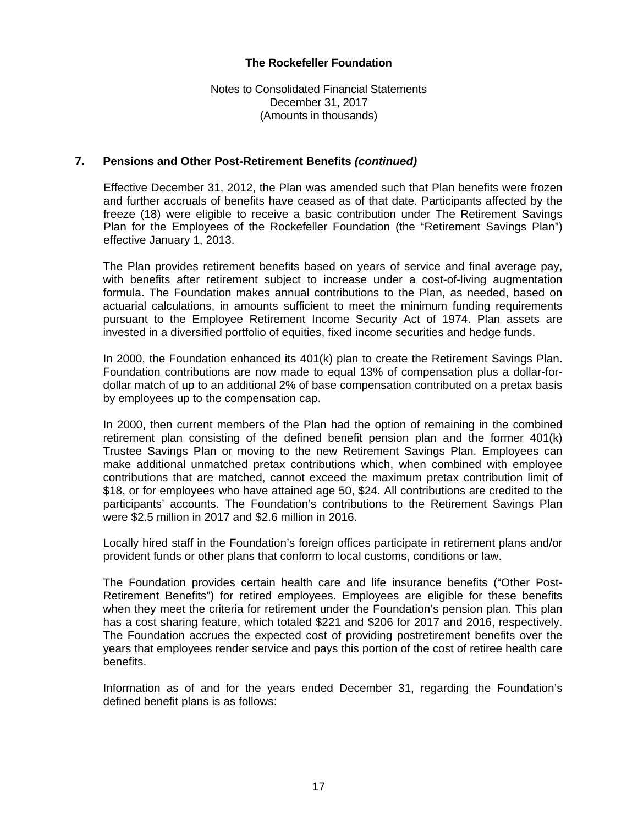Notes to Consolidated Financial Statements December 31, 2017 (Amounts in thousands)

## **7. Pensions and Other Post-Retirement Benefits** *(continued)*

Effective December 31, 2012, the Plan was amended such that Plan benefits were frozen and further accruals of benefits have ceased as of that date. Participants affected by the freeze (18) were eligible to receive a basic contribution under The Retirement Savings Plan for the Employees of the Rockefeller Foundation (the "Retirement Savings Plan") effective January 1, 2013.

The Plan provides retirement benefits based on years of service and final average pay, with benefits after retirement subject to increase under a cost-of-living augmentation formula. The Foundation makes annual contributions to the Plan, as needed, based on actuarial calculations, in amounts sufficient to meet the minimum funding requirements pursuant to the Employee Retirement Income Security Act of 1974. Plan assets are invested in a diversified portfolio of equities, fixed income securities and hedge funds.

In 2000, the Foundation enhanced its 401(k) plan to create the Retirement Savings Plan. Foundation contributions are now made to equal 13% of compensation plus a dollar-fordollar match of up to an additional 2% of base compensation contributed on a pretax basis by employees up to the compensation cap.

In 2000, then current members of the Plan had the option of remaining in the combined retirement plan consisting of the defined benefit pension plan and the former 401(k) Trustee Savings Plan or moving to the new Retirement Savings Plan. Employees can make additional unmatched pretax contributions which, when combined with employee contributions that are matched, cannot exceed the maximum pretax contribution limit of \$18, or for employees who have attained age 50, \$24. All contributions are credited to the participants' accounts. The Foundation's contributions to the Retirement Savings Plan were \$2.5 million in 2017 and \$2.6 million in 2016.

Locally hired staff in the Foundation's foreign offices participate in retirement plans and/or provident funds or other plans that conform to local customs, conditions or law.

The Foundation provides certain health care and life insurance benefits ("Other Post-Retirement Benefits") for retired employees. Employees are eligible for these benefits when they meet the criteria for retirement under the Foundation's pension plan. This plan has a cost sharing feature, which totaled \$221 and \$206 for 2017 and 2016, respectively. The Foundation accrues the expected cost of providing postretirement benefits over the years that employees render service and pays this portion of the cost of retiree health care benefits.

Information as of and for the years ended December 31, regarding the Foundation's defined benefit plans is as follows: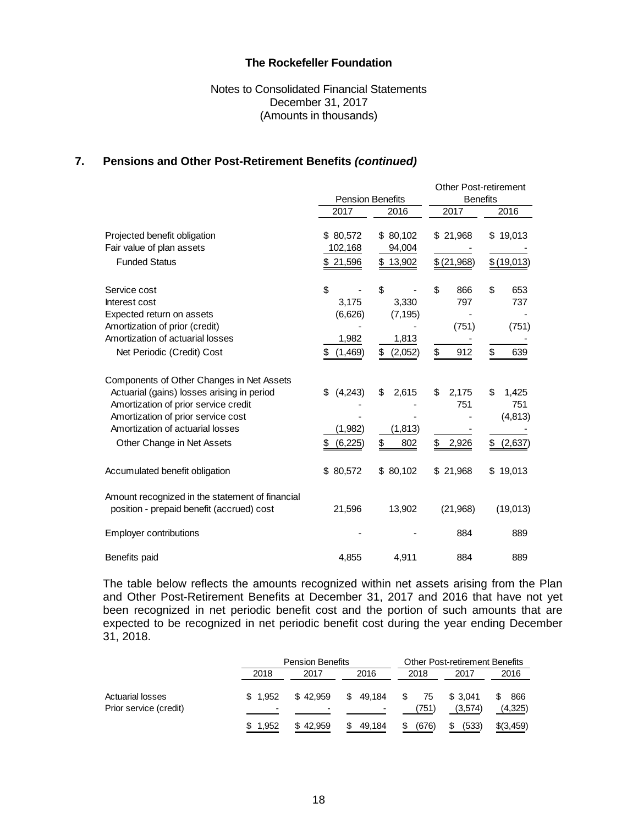#### Notes to Consolidated Financial Statements December 31, 2017 (Amounts in thousands)

# **7. Pensions and Other Post-Retirement Benefits** *(continued)*

|                                                                                                                                                                                                                                         | <b>Pension Benefits</b>                          |                                                   | <b>Other Post-retirement</b><br><b>Benefits</b> |                                                 |
|-----------------------------------------------------------------------------------------------------------------------------------------------------------------------------------------------------------------------------------------|--------------------------------------------------|---------------------------------------------------|-------------------------------------------------|-------------------------------------------------|
|                                                                                                                                                                                                                                         | 2017                                             | 2016                                              | 2017                                            | 2016                                            |
| Projected benefit obligation<br>Fair value of plan assets<br><b>Funded Status</b>                                                                                                                                                       | \$80,572<br>102,168<br>21,596<br>\$              | \$80,102<br>94,004<br>\$<br>13,902                | \$21,968<br>\$(21,968)                          | \$19,013<br>\$(19,013)                          |
| Service cost<br>Interest cost<br>Expected return on assets<br>Amortization of prior (credit)<br>Amortization of actuarial losses<br>Net Periodic (Credit) Cost                                                                          | \$<br>3,175<br>(6,626)<br>1,982<br>(1,469)<br>\$ | \$<br>3,330<br>(7, 195)<br>1,813<br>\$<br>(2,052) | \$<br>866<br>797<br>(751)<br>\$<br>912          | \$<br>653<br>737<br>(751)<br>\$<br>639          |
| Components of Other Changes in Net Assets<br>Actuarial (gains) losses arising in period<br>Amortization of prior service credit<br>Amortization of prior service cost<br>Amortization of actuarial losses<br>Other Change in Net Assets | (4,243)<br>S<br>(1,982)<br>\$<br>(6, 225)        | \$<br>2,615<br>(1, 813)<br>\$<br>802              | \$<br>2,175<br>751<br>\$<br>2,926               | 1,425<br>\$<br>751<br>(4, 813)<br>\$<br>(2,637) |
| Accumulated benefit obligation                                                                                                                                                                                                          | 80,572<br>\$                                     | \$80,102                                          | \$21,968                                        | \$19,013                                        |
| Amount recognized in the statement of financial<br>position - prepaid benefit (accrued) cost                                                                                                                                            | 21,596                                           | 13,902                                            | (21, 968)                                       | (19,013)                                        |
| <b>Employer contributions</b>                                                                                                                                                                                                           |                                                  |                                                   | 884                                             | 889                                             |
| Benefits paid                                                                                                                                                                                                                           | 4,855                                            | 4,911                                             | 884                                             | 889                                             |

The table below reflects the amounts recognized within net assets arising from the Plan and Other Post-Retirement Benefits at December 31, 2017 and 2016 that have not yet been recognized in net periodic benefit cost and the portion of such amounts that are expected to be recognized in net periodic benefit cost during the year ending December 31, 2018.

|                                                   |                   | <b>Pension Benefits</b> |              |             | Other Post-retirement Benefits |                |
|---------------------------------------------------|-------------------|-------------------------|--------------|-------------|--------------------------------|----------------|
|                                                   | 2018              | 2017                    | 2016         | 2018        | 2017                           | 2016           |
| <b>Actuarial losses</b><br>Prior service (credit) | 1.952<br>SS.<br>٠ | \$42.959                | \$49.184     | 75<br>(751) | \$ 3.041<br>(3.574)            | 866<br>(4,325) |
|                                                   | 1,952             | \$42,959                | 49,184<br>S. | (676)<br>S  | (533)<br>S                     | \$(3,459)      |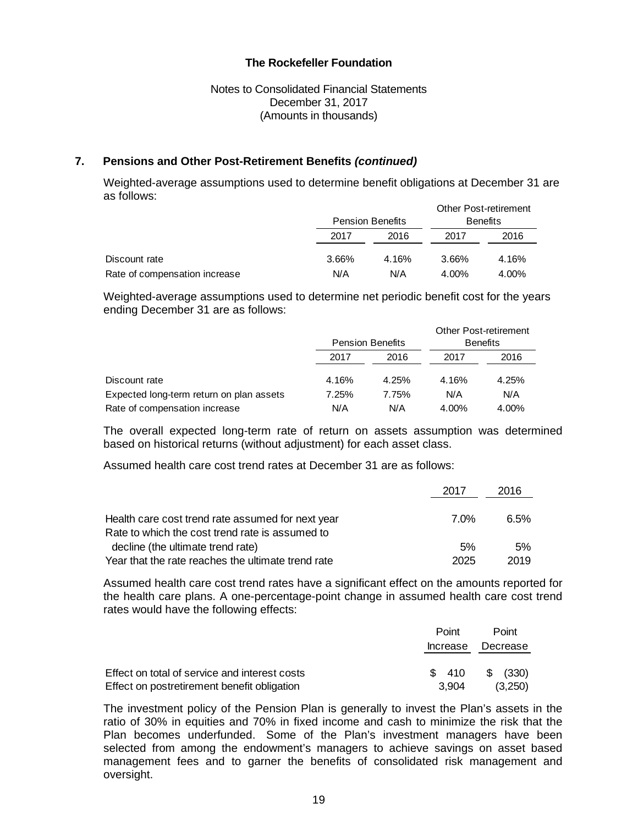## Notes to Consolidated Financial Statements December 31, 2017 (Amounts in thousands)

## **7. Pensions and Other Post-Retirement Benefits** *(continued)*

Weighted-average assumptions used to determine benefit obligations at December 31 are as follows: Other Post-retirement

|                               | <b>Pension Benefits</b> |       |       | Other Post-retirement<br><b>Benefits</b> |
|-------------------------------|-------------------------|-------|-------|------------------------------------------|
|                               | 2017                    | 2016  | 2017  | 2016                                     |
| Discount rate                 | 3.66%                   | 4.16% | 3.66% | 4.16%                                    |
| Rate of compensation increase | N/A                     | N/A   | 4.00% | 4.00%                                    |

Weighted-average assumptions used to determine net periodic benefit cost for the years ending December 31 are as follows:

|                                          | <b>Pension Benefits</b> |       | <b>Other Post-retirement</b><br><b>Benefits</b> |       |
|------------------------------------------|-------------------------|-------|-------------------------------------------------|-------|
|                                          | 2017                    | 2016  | 2017                                            | 2016  |
| Discount rate                            | 4.16%                   | 4.25% | 4.16%                                           | 4.25% |
| Expected long-term return on plan assets | 7.25%                   | 7.75% | N/A                                             | N/A   |
| Rate of compensation increase            | N/A                     | N/A   | 4.00%                                           | 4.00% |

The overall expected long-term rate of return on assets assumption was determined based on historical returns (without adjustment) for each asset class.

Assumed health care cost trend rates at December 31 are as follows:

|                                                    | 2017   | 2016 |
|----------------------------------------------------|--------|------|
| Health care cost trend rate assumed for next year  | 7.0%   | 6.5% |
| Rate to which the cost trend rate is assumed to    |        |      |
| decline (the ultimate trend rate)                  | $.5\%$ | 5%   |
| Year that the rate reaches the ultimate trend rate | 2025   | 2019 |

Assumed health care cost trend rates have a significant effect on the amounts reported for the health care plans. A one-percentage-point change in assumed health care cost trend rates would have the following effects:

|                                               | Point  | Point             |
|-----------------------------------------------|--------|-------------------|
|                                               |        | Increase Decrease |
| Effect on total of service and interest costs | \$ 410 | \$ (330)          |
| Effect on postretirement benefit obligation   | 3.904  | (3.250)           |

The investment policy of the Pension Plan is generally to invest the Plan's assets in the ratio of 30% in equities and 70% in fixed income and cash to minimize the risk that the Plan becomes underfunded. Some of the Plan's investment managers have been selected from among the endowment's managers to achieve savings on asset based management fees and to garner the benefits of consolidated risk management and oversight.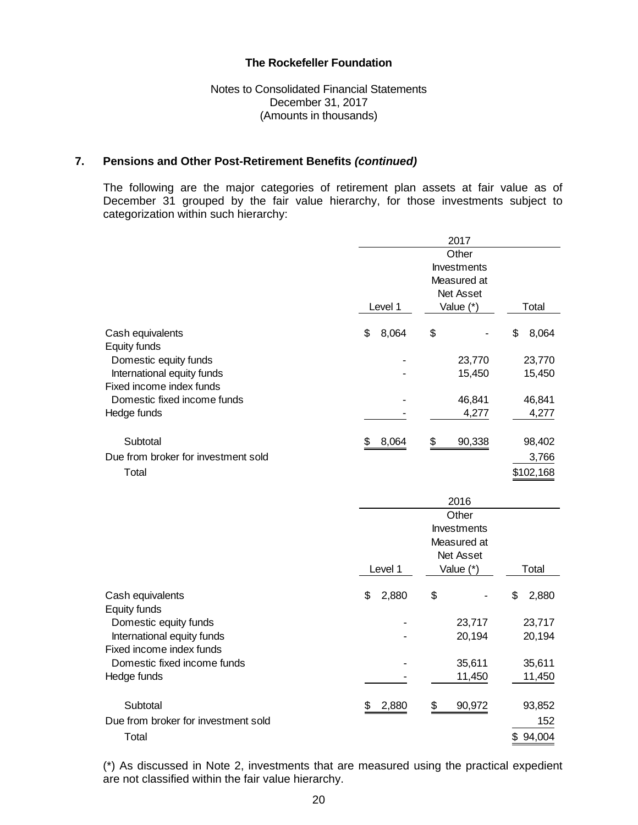## Notes to Consolidated Financial Statements December 31, 2017 (Amounts in thousands)

## **7. Pensions and Other Post-Retirement Benefits** *(continued)*

The following are the major categories of retirement plan assets at fair value as of December 31 grouped by the fair value hierarchy, for those investments subject to categorization within such hierarchy:

|                                     |             | 2017               |             |
|-------------------------------------|-------------|--------------------|-------------|
|                                     |             | Other              |             |
|                                     |             | <b>Investments</b> |             |
|                                     |             | Measured at        |             |
|                                     |             | <b>Net Asset</b>   |             |
|                                     | Level 1     | Value (*)          | Total       |
| Cash equivalents                    | \$<br>8,064 | \$                 | \$<br>8,064 |
| Equity funds                        |             |                    |             |
| Domestic equity funds               |             | 23,770             | 23,770      |
| International equity funds          |             | 15,450             | 15,450      |
| Fixed income index funds            |             |                    |             |
| Domestic fixed income funds         |             | 46,841             | 46,841      |
| Hedge funds                         |             | 4,277              | 4,277       |
| Subtotal                            | \$<br>8,064 | 90,338<br>\$       | 98,402      |
| Due from broker for investment sold |             |                    | 3,766       |
| Total                               |             |                    | \$102,168   |

|                                     |             | 2016               |              |
|-------------------------------------|-------------|--------------------|--------------|
|                                     |             | Other              |              |
|                                     |             | <b>Investments</b> |              |
|                                     |             | Measured at        |              |
|                                     |             | <b>Net Asset</b>   |              |
|                                     | Level 1     | Value (*)          | Total        |
| Cash equivalents                    | \$<br>2,880 | \$                 | \$<br>2,880  |
| Equity funds                        |             |                    |              |
| Domestic equity funds               |             | 23,717             | 23,717       |
| International equity funds          |             | 20,194             | 20,194       |
| Fixed income index funds            |             |                    |              |
| Domestic fixed income funds         |             | 35,611             | 35,611       |
| Hedge funds                         |             | 11,450             | 11,450       |
| Subtotal                            | 2,880<br>S  | \$<br>90,972       | 93,852       |
| Due from broker for investment sold |             |                    | 152          |
| Total                               |             |                    | \$<br>94,004 |

(\*) As discussed in Note 2, investments that are measured using the practical expedient are not classified within the fair value hierarchy.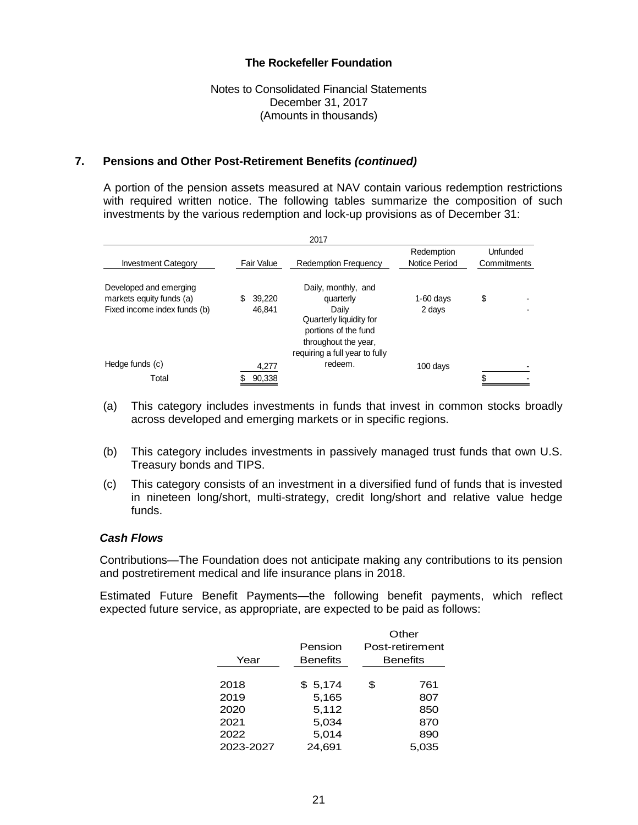Notes to Consolidated Financial Statements December 31, 2017 (Amounts in thousands)

## **7. Pensions and Other Post-Retirement Benefits** *(continued)*

A portion of the pension assets measured at NAV contain various redemption restrictions with required written notice. The following tables summarize the composition of such investments by the various redemption and lock-up provisions as of December 31:

|                                                    |            | 2017                                                                                                               |                             |                                |
|----------------------------------------------------|------------|--------------------------------------------------------------------------------------------------------------------|-----------------------------|--------------------------------|
| <b>Investment Category</b>                         | Fair Value | <b>Redemption Frequency</b>                                                                                        | Redemption<br>Notice Period | <b>Unfunded</b><br>Commitments |
| Developed and emerging<br>markets equity funds (a) | 39.220     | Daily, monthly, and<br>quarterly                                                                                   | $1-60$ days                 | \$                             |
| Fixed income index funds (b)                       | 46.841     | Daily<br>Quarterly liquidity for<br>portions of the fund<br>throughout the year,<br>requiring a full year to fully | 2 days                      |                                |
| Hedge funds (c)                                    | 4,277      | redeem.                                                                                                            | 100 days                    |                                |
| Total                                              | 90.338     |                                                                                                                    |                             | \$.                            |

- (a) This category includes investments in funds that invest in common stocks broadly across developed and emerging markets or in specific regions.
- (b) This category includes investments in passively managed trust funds that own U.S. Treasury bonds and TIPS.
- (c) This category consists of an investment in a diversified fund of funds that is invested in nineteen long/short, multi-strategy, credit long/short and relative value hedge funds.

#### *Cash Flows*

Contributions—The Foundation does not anticipate making any contributions to its pension and postretirement medical and life insurance plans in 2018.

Estimated Future Benefit Payments*—*the following benefit payments, which reflect expected future service, as appropriate, are expected to be paid as follows:

|           |                 | Other           |
|-----------|-----------------|-----------------|
|           | Pension         | Post-retirement |
| Year      | <b>Benefits</b> | <b>Benefits</b> |
|           |                 |                 |
| 2018      | \$5,174         | \$<br>761       |
| 2019      | 5,165           | 807             |
| 2020      | 5,112           | 850             |
| 2021      | 5,034           | 870             |
| 2022      | 5,014           | 890             |
| 2023-2027 | 24,691          | 5,035           |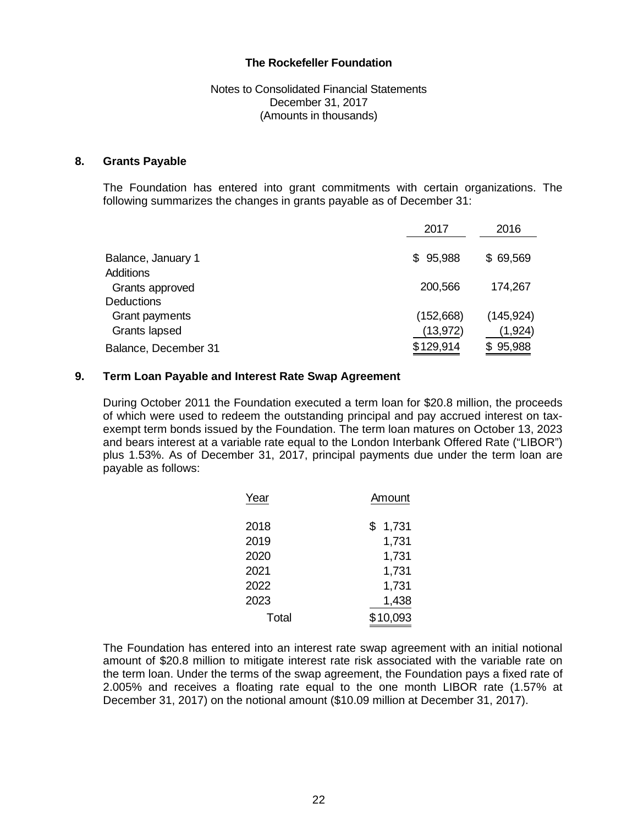## Notes to Consolidated Financial Statements December 31, 2017 (Amounts in thousands)

#### **8. Grants Payable**

The Foundation has entered into grant commitments with certain organizations. The following summarizes the changes in grants payable as of December 31:

|                      | 2017      | 2016       |
|----------------------|-----------|------------|
| Balance, January 1   | \$95,988  | \$69,569   |
| Additions            |           |            |
| Grants approved      | 200,566   | 174,267    |
| <b>Deductions</b>    |           |            |
| Grant payments       | (152,668) | (145, 924) |
| Grants lapsed        | (13, 972) | (1,924)    |
| Balance, December 31 | \$129,914 | \$95,988   |
|                      |           |            |

#### **9. Term Loan Payable and Interest Rate Swap Agreement**

During October 2011 the Foundation executed a term loan for \$20.8 million, the proceeds of which were used to redeem the outstanding principal and pay accrued interest on taxexempt term bonds issued by the Foundation. The term loan matures on October 13, 2023 and bears interest at a variable rate equal to the London Interbank Offered Rate ("LIBOR") plus 1.53%. As of December 31, 2017, principal payments due under the term loan are payable as follows:

| Year  | Amount      |  |  |
|-------|-------------|--|--|
| 2018  | 1,731<br>\$ |  |  |
| 2019  | 1,731       |  |  |
| 2020  | 1,731       |  |  |
| 2021  | 1,731       |  |  |
| 2022  | 1,731       |  |  |
| 2023  | 1,438       |  |  |
| Total | \$10,093    |  |  |

The Foundation has entered into an interest rate swap agreement with an initial notional amount of \$20.8 million to mitigate interest rate risk associated with the variable rate on the term loan. Under the terms of the swap agreement, the Foundation pays a fixed rate of 2.005% and receives a floating rate equal to the one month LIBOR rate (1.57% at December 31, 2017) on the notional amount (\$10.09 million at December 31, 2017).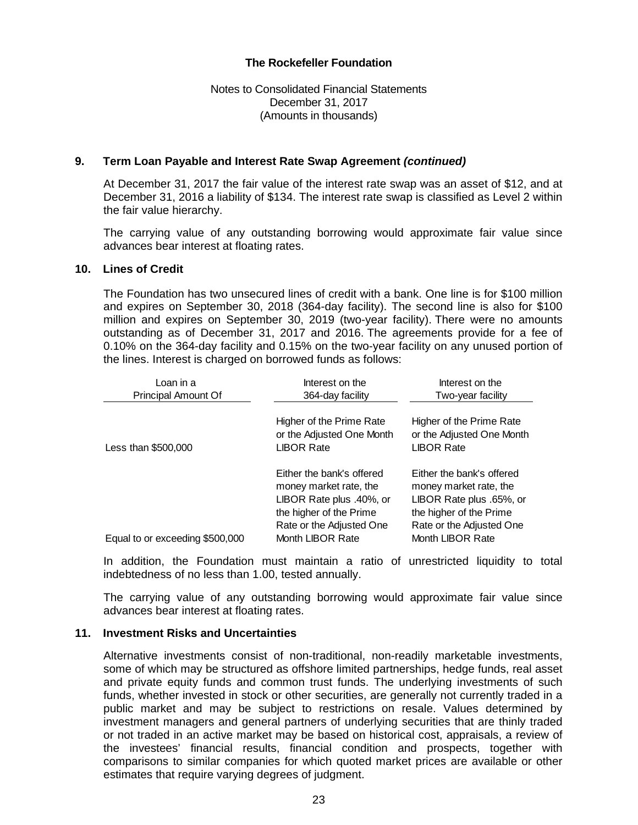## Notes to Consolidated Financial Statements December 31, 2017 (Amounts in thousands)

## **9. Term Loan Payable and Interest Rate Swap Agreement** *(continued)*

At December 31, 2017 the fair value of the interest rate swap was an asset of \$12, and at December 31, 2016 a liability of \$134. The interest rate swap is classified as Level 2 within the fair value hierarchy.

The carrying value of any outstanding borrowing would approximate fair value since advances bear interest at floating rates.

#### **10. Lines of Credit**

The Foundation has two unsecured lines of credit with a bank. One line is for \$100 million and expires on September 30, 2018 (364-day facility). The second line is also for \$100 million and expires on September 30, 2019 (two-year facility). There were no amounts outstanding as of December 31, 2017 and 2016. The agreements provide for a fee of 0.10% on the 364-day facility and 0.15% on the two-year facility on any unused portion of the lines. Interest is charged on borrowed funds as follows:

| Loan in a                       | Interest on the                                                                                                                                            | Interest on the                                                                                                                                            |
|---------------------------------|------------------------------------------------------------------------------------------------------------------------------------------------------------|------------------------------------------------------------------------------------------------------------------------------------------------------------|
| Principal Amount Of             | 364-day facility                                                                                                                                           | Two-year facility                                                                                                                                          |
| Less than \$500,000             | Higher of the Prime Rate<br>or the Adjusted One Month<br><b>LIBOR Rate</b>                                                                                 | Higher of the Prime Rate<br>or the Adjusted One Month<br>LIBOR Rate                                                                                        |
| Equal to or exceeding \$500,000 | Either the bank's offered<br>money market rate, the<br>LIBOR Rate plus .40%, or<br>the higher of the Prime<br>Rate or the Adjusted One<br>Month LIBOR Rate | Either the bank's offered<br>money market rate, the<br>LIBOR Rate plus .65%, or<br>the higher of the Prime<br>Rate or the Adjusted One<br>Month LIBOR Rate |

In addition, the Foundation must maintain a ratio of unrestricted liquidity to total indebtedness of no less than 1.00, tested annually.

The carrying value of any outstanding borrowing would approximate fair value since advances bear interest at floating rates.

#### **11. Investment Risks and Uncertainties**

Alternative investments consist of non-traditional, non-readily marketable investments, some of which may be structured as offshore limited partnerships, hedge funds, real asset and private equity funds and common trust funds. The underlying investments of such funds, whether invested in stock or other securities, are generally not currently traded in a public market and may be subject to restrictions on resale. Values determined by investment managers and general partners of underlying securities that are thinly traded or not traded in an active market may be based on historical cost, appraisals, a review of the investees' financial results, financial condition and prospects, together with comparisons to similar companies for which quoted market prices are available or other estimates that require varying degrees of judgment.